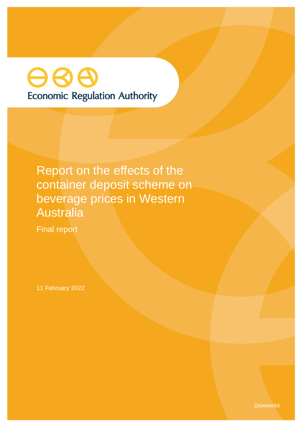# 88 **Economic Regulation Authority**

Report on the effects of the container deposit scheme on beverage prices in Western Australia

Final report

11 February 2022

D#######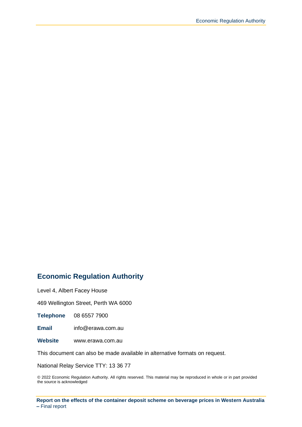#### **Economic Regulation Authority**

Level 4, Albert Facey House

469 Wellington Street, Perth WA 6000

**Telephone** 08 6557 7900

**Email** info@erawa.com.au

**Website** www.erawa.com.au

This document can also be made available in alternative formats on request.

National Relay Service TTY: 13 36 77

© 2022 Economic Regulation Authority. All rights reserved. This material may be reproduced in whole or in part provided the source is acknowledged

**Report on the effects of the container deposit scheme on beverage prices in Western Australia –** Final report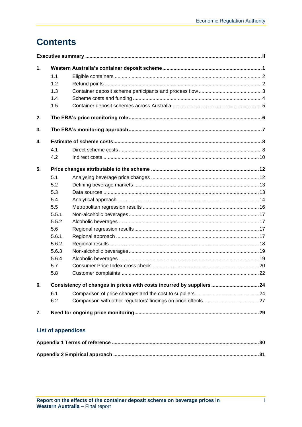# **Contents**

| $\mathbf 1$ . |       |                                                                       |  |  |  |  |
|---------------|-------|-----------------------------------------------------------------------|--|--|--|--|
|               | 1.1   |                                                                       |  |  |  |  |
|               | 1.2   |                                                                       |  |  |  |  |
|               | 1.3   |                                                                       |  |  |  |  |
|               | 1.4   |                                                                       |  |  |  |  |
|               | 1.5   |                                                                       |  |  |  |  |
| 2.            |       |                                                                       |  |  |  |  |
| 3.            |       |                                                                       |  |  |  |  |
| 4.            |       |                                                                       |  |  |  |  |
|               | 4.1   |                                                                       |  |  |  |  |
|               | 4.2   |                                                                       |  |  |  |  |
| 5.            |       |                                                                       |  |  |  |  |
|               | 5.1   |                                                                       |  |  |  |  |
|               | 5.2   |                                                                       |  |  |  |  |
|               | 5.3   |                                                                       |  |  |  |  |
|               | 5.4   |                                                                       |  |  |  |  |
|               | 5.5   |                                                                       |  |  |  |  |
|               | 5.5.1 |                                                                       |  |  |  |  |
|               | 5.5.2 |                                                                       |  |  |  |  |
|               | 5.6   |                                                                       |  |  |  |  |
|               | 5.6.1 |                                                                       |  |  |  |  |
|               | 5.6.2 |                                                                       |  |  |  |  |
|               | 5.6.3 |                                                                       |  |  |  |  |
|               | 5.6.4 |                                                                       |  |  |  |  |
|               | 5.7   |                                                                       |  |  |  |  |
|               | 5.8   |                                                                       |  |  |  |  |
| 6.            |       | Consistency of changes in prices with costs incurred by suppliers  24 |  |  |  |  |
|               | 6.1   |                                                                       |  |  |  |  |
|               | 6.2   |                                                                       |  |  |  |  |
| 7.            |       |                                                                       |  |  |  |  |
|               |       | <b>List of appendices</b>                                             |  |  |  |  |
|               |       |                                                                       |  |  |  |  |
|               |       |                                                                       |  |  |  |  |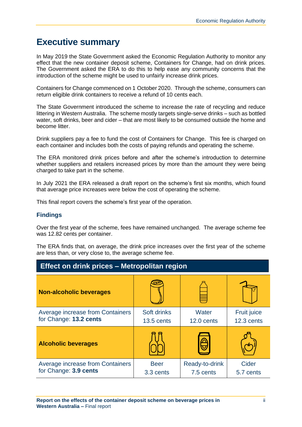# <span id="page-3-0"></span>**Executive summary**

In May 2019 the State Government asked the Economic Regulation Authority to monitor any effect that the new container deposit scheme, Containers for Change, had on drink prices. The Government asked the ERA to do this to help ease any community concerns that the introduction of the scheme might be used to unfairly increase drink prices.

Containers for Change commenced on 1 October 2020. Through the scheme, consumers can return eligible drink containers to receive a refund of 10 cents each.

The State Government introduced the scheme to increase the rate of recycling and reduce littering in Western Australia. The scheme mostly targets single-serve drinks – such as bottled water, soft drinks, beer and cider – that are most likely to be consumed outside the home and become litter.

Drink suppliers pay a fee to fund the cost of Containers for Change. This fee is charged on each container and includes both the costs of paying refunds and operating the scheme.

The ERA monitored drink prices before and after the scheme's introduction to determine whether suppliers and retailers increased prices by more than the amount they were being charged to take part in the scheme.

In July 2021 the ERA released a draft report on the scheme's first six months, which found that average price increases were below the cost of operating the scheme.

This final report covers the scheme's first year of the operation.

#### **Findings**

Over the first year of the scheme, fees have remained unchanged. The average scheme fee was 12.82 cents per container.

The ERA finds that, on average, the drink price increases over the first year of the scheme are less than, or very close to, the average scheme fee.

| Effect on drink prices – Metropolitan region               |                             |                             |                                  |  |  |
|------------------------------------------------------------|-----------------------------|-----------------------------|----------------------------------|--|--|
| <b>Non-alcoholic beverages</b>                             |                             |                             |                                  |  |  |
| Average increase from Containers<br>for Change: 13.2 cents | Soft drinks<br>$13.5$ cents | Water<br>$12.0$ cents       | <b>Fruit juice</b><br>12.3 cents |  |  |
| <b>Alcoholic beverages</b>                                 |                             |                             |                                  |  |  |
| Average increase from Containers<br>for Change: 3.9 cents  | <b>Beer</b><br>3.3 cents    | Ready-to-drink<br>7.5 cents | Cider<br>5.7 cents               |  |  |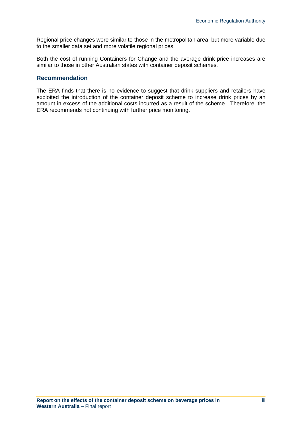Regional price changes were similar to those in the metropolitan area, but more variable due to the smaller data set and more volatile regional prices.

Both the cost of running Containers for Change and the average drink price increases are similar to those in other Australian states with container deposit schemes.

#### **Recommendation**

The ERA finds that there is no evidence to suggest that drink suppliers and retailers have exploited the introduction of the container deposit scheme to increase drink prices by an amount in excess of the additional costs incurred as a result of the scheme. Therefore, the ERA recommends not continuing with further price monitoring.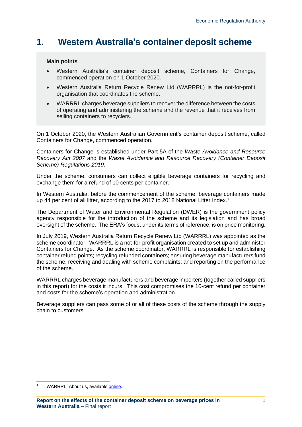# <span id="page-5-0"></span>**1. Western Australia's container deposit scheme**

#### **Main points**

- Western Australia's container deposit scheme, Containers for Change, commenced operation on 1 October 2020.
- Western Australia Return Recycle Renew Ltd (WARRRL) is the not-for-profit organisation that coordinates the scheme.
- WARRRL charges beverage suppliers to recover the difference between the costs of operating and administering the scheme and the revenue that it receives from selling containers to recyclers.

On 1 October 2020, the Western Australian Government's container deposit scheme, called Containers for Change, commenced operation.

Containers for Change is established under Part 5A of the *Waste Avoidance and Resource Recovery Act 2007* and the *Waste Avoidance and Resource Recovery (Container Deposit Scheme) Regulations 2019*.

Under the scheme, consumers can collect eligible beverage containers for recycling and exchange them for a refund of 10 cents per container.

In Western Australia, before the commencement of the scheme, beverage containers made up 44 per cent of all litter, according to the 2017 to 2018 National Litter Index.<sup>1</sup>

The Department of Water and Environmental Regulation (DWER) is the government policy agency responsible for the introduction of the scheme and its legislation and has broad oversight of the scheme. The ERA's focus, under its terms of reference, is on price monitoring.

In July 2019, Western Australia Return Recycle Renew Ltd (WARRRL) was appointed as the scheme coordinator. WARRRL is a not-for-profit organisation created to set up and administer Containers for Change. As the scheme coordinator, WARRRL is responsible for establishing container refund points; recycling refunded containers; ensuring beverage manufacturers fund the scheme; receiving and dealing with scheme complaints; and reporting on the performance of the scheme.

WARRRL charges beverage manufacturers and beverage importers (together called suppliers in this report) for the costs it incurs. This cost compromises the 10-cent refund per container and costs for the scheme's operation and administration.

Beverage suppliers can pass some of or all of these costs of the scheme through the supply chain to customers.

WARRRL, About us, available [online.](https://warrrl.com.au/about-us/)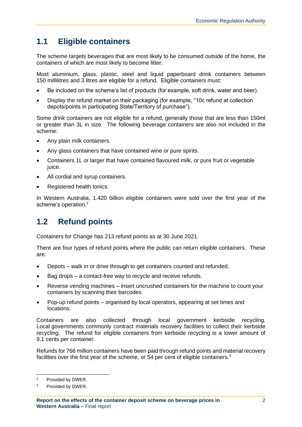# <span id="page-6-0"></span>**1.1 Eligible containers**

The scheme targets beverages that are most likely to be consumed outside of the home, the containers of which are most likely to become litter.

Most aluminium, glass, plastic, steel and liquid paperboard drink containers between 150 millilitres and 3 litres are eligible for a refund. Eligible containers must:

- Be included on the scheme's list of products (for example, soft drink, water and beer).
- Display the refund market on their packaging (for example, "10c refund at collection depots/points in participating State/Territory of purchase").

Some drink containers are not eligible for a refund, generally those that are less than 150ml or greater than 3L in size. The following beverage containers are also not included in the scheme:

- Any plain milk containers.
- Any glass containers that have contained wine or pure spirits.
- Containers 1L or larger that have contained flavoured milk, or pure fruit or vegetable juice.
- All cordial and syrup containers.
- Registered health tonics.

In Western Australia, 1.420 billion eligible containers were sold over the first year of the scheme's operation.<sup>2</sup>

# <span id="page-6-1"></span>**1.2 Refund points**

Containers for Change has 213 refund points as at 30 June 2021.

There are four types of refund points where the public can return eligible containers. These are:

- Depots walk in or drive through to get containers counted and refunded.
- Bag drops a contact-free way to recycle and receive refunds.
- Reverse vending machines insert uncrushed containers for the machine to count your containers by scanning their barcodes.
- Pop-up refund points organised by local operators, appearing at set times and locations.

Containers are also collected through local government kerbside recycling. Local governments commonly contract materials recovery facilities to collect their kerbside recycling. The refund for eligible containers from kerbside recycling is a lower amount of 9.1 cents per container.

Refunds for 766 million containers have been paid through refund points and material recovery facilities over the first year of the scheme, or 54 per cent of eligible containers.<sup>3</sup>

<sup>2</sup> Provided by DWER.

<sup>3</sup> Provided by DWER.

**Report on the effects of the container deposit scheme on beverage prices in Western Australia –** Final report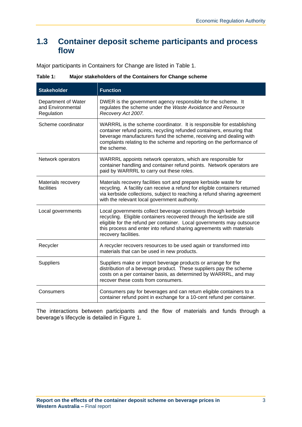### <span id="page-7-0"></span>**1.3 Container deposit scheme participants and process flow**

Major participants in Containers for Change are listed in [Table 1.](#page-7-1)

| <b>Stakeholder</b>                                     | <b>Function</b>                                                                                                                                                                                                                                                                                                     |  |  |
|--------------------------------------------------------|---------------------------------------------------------------------------------------------------------------------------------------------------------------------------------------------------------------------------------------------------------------------------------------------------------------------|--|--|
| Department of Water<br>and Environmental<br>Regulation | DWER is the government agency responsible for the scheme. It<br>regulates the scheme under the Waste Avoidance and Resource<br>Recovery Act 2007.                                                                                                                                                                   |  |  |
| Scheme coordinator                                     | WARRRL is the scheme coordinator. It is responsible for establishing<br>container refund points, recycling refunded containers, ensuring that<br>beverage manufacturers fund the scheme, receiving and dealing with<br>complaints relating to the scheme and reporting on the performance of<br>the scheme.         |  |  |
| Network operators                                      | WARRRL appoints network operators, which are responsible for<br>container handling and container refund points. Network operators are<br>paid by WARRRL to carry out these roles.                                                                                                                                   |  |  |
| Materials recovery<br>facilities                       | Materials recovery facilities sort and prepare kerbside waste for<br>recycling. A facility can receive a refund for eligible containers returned<br>via kerbside collections, subject to reaching a refund sharing agreement<br>with the relevant local government authority.                                       |  |  |
| Local governments                                      | Local governments collect beverage containers through kerbside<br>recycling. Eligible containers recovered through the kerbside are still<br>eligible for the refund per container. Local governments may outsource<br>this process and enter into refund sharing agreements with materials<br>recovery facilities. |  |  |
| Recycler                                               | A recycler recovers resources to be used again or transformed into<br>materials that can be used in new products.                                                                                                                                                                                                   |  |  |
| <b>Suppliers</b>                                       | Suppliers make or import beverage products or arrange for the<br>distribution of a beverage product. These suppliers pay the scheme<br>costs on a per container basis, as determined by WARRRL, and may<br>recover these costs from consumers.                                                                      |  |  |
| Consumers                                              | Consumers pay for beverages and can return eligible containers to a<br>container refund point in exchange for a 10-cent refund per container.                                                                                                                                                                       |  |  |

<span id="page-7-1"></span>**Table 1: Major stakeholders of the Containers for Change scheme**

The interactions between participants and the flow of materials and funds through a beverage's lifecycle is detailed in [Figure 1.](#page-8-1)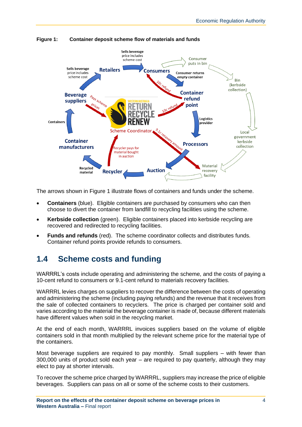

<span id="page-8-1"></span>**Figure 1: Container deposit scheme flow of materials and funds**

The arrows shown in Figure 1 illustrate flows of containers and funds under the scheme.

- **Containers** (blue). Eligible containers are purchased by consumers who can then choose to divert the container from landfill to recycling facilities using the scheme.
- **Kerbside collection** (green). Eligible containers placed into kerbside recycling are recovered and redirected to recycling facilities.
- **Funds and refunds** (red). The scheme coordinator collects and distributes funds. Container refund points provide refunds to consumers.

### <span id="page-8-0"></span>**1.4 Scheme costs and funding**

WARRRL's costs include operating and administering the scheme, and the costs of paying a 10-cent refund to consumers or 9.1-cent refund to materials recovery facilities.

WARRRL levies charges on suppliers to recover the difference between the costs of operating and administering the scheme (including paying refunds) and the revenue that it receives from the sale of collected containers to recyclers. The price is charged per container sold and varies according to the material the beverage container is made of, because different materials have different values when sold in the recycling market.

At the end of each month, WARRRL invoices suppliers based on the volume of eligible containers sold in that month multiplied by the relevant scheme price for the material type of the containers.

Most beverage suppliers are required to pay monthly. Small suppliers – with fewer than 300,000 units of product sold each year – are required to pay quarterly, although they may elect to pay at shorter intervals.

To recover the scheme price charged by WARRRL, suppliers may increase the price of eligible beverages. Suppliers can pass on all or some of the scheme costs to their customers.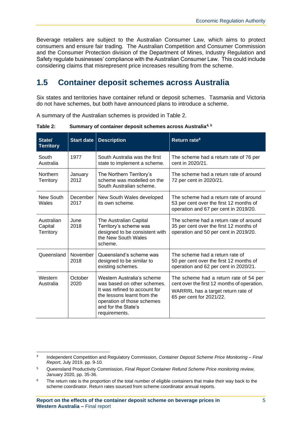Beverage retailers are subject to the Australian Consumer Law, which aims to protect consumers and ensure fair trading. The Australian Competition and Consumer Commission and the Consumer Protection division of the Department of Mines, Industry Regulation and Safety regulate businesses' compliance with the Australian Consumer Law. This could include considering claims that misrepresent price increases resulting from the scheme.

### <span id="page-9-0"></span>**1.5 Container deposit schemes across Australia**

Six states and territories have container refund or deposit schemes. Tasmania and Victoria do not have schemes, but both have announced plans to introduce a scheme.

A summary of the Australian schemes is provided in [Table 2.](#page-9-1)

| State/<br><b>Territory</b>          | <b>Start date</b> | <b>Description</b>                                                                                                                                                                              | Return rate <sup>6</sup>                                                                                                                                |
|-------------------------------------|-------------------|-------------------------------------------------------------------------------------------------------------------------------------------------------------------------------------------------|---------------------------------------------------------------------------------------------------------------------------------------------------------|
| South<br>Australia                  | 1977              | South Australia was the first<br>state to implement a scheme.                                                                                                                                   | The scheme had a return rate of 76 per<br>cent in 2020/21.                                                                                              |
| <b>Northern</b><br><b>Territory</b> | January<br>2012   | The Northern Territory's<br>scheme was modelled on the<br>South Australian scheme.                                                                                                              | The scheme had a return rate of around<br>72 per cent in 2020/21.                                                                                       |
| New South<br>Wales                  | December<br>2017  | New South Wales developed<br>its own scheme.                                                                                                                                                    | The scheme had a return rate of around<br>53 per cent over the first 12 months of<br>operation and 67 per cent in 2019/20.                              |
| Australian<br>Capital<br>Territory  | June<br>2018      | The Australian Capital<br>Territory's scheme was<br>designed to be consistent with<br>the New South Wales<br>scheme.                                                                            | The scheme had a return rate of around<br>35 per cent over the first 12 months of<br>operation and 50 per cent in 2019/20.                              |
| Queensland                          | November<br>2018  | Queensland's scheme was<br>designed to be similar to<br>existing schemes.                                                                                                                       | The scheme had a return rate of<br>50 per cent over the first 12 months of<br>operation and 62 per cent in 2020/21.                                     |
| Western<br>Australia                | October<br>2020   | Western Australia's scheme<br>was based on other schemes.<br>It was refined to account for<br>the lessons learnt from the<br>operation of those schemes<br>and for the State's<br>requirements. | The scheme had a return rate of 54 per<br>cent over the first 12 months of operation.<br>WARRRL has a target return rate of<br>65 per cent for 2021/22. |

<span id="page-9-1"></span>**Table 2: Summary of container deposit schemes across Australia4, <sup>5</sup>**

<sup>4</sup> Independent Competition and Regulatory Commission, *Container Deposit Scheme Price Monitoring – Final Report*, July 2019, pp. 9-10.

<sup>5</sup> Queensland Productivity Commission, *Final Report Container Refund Scheme Price monitoring review,* January 2020, pp. 35-36.

 $6$  The return rate is the proportion of the total number of eligible containers that make their way back to the scheme coordinator. Return rates sourced from scheme coordinator annual reports.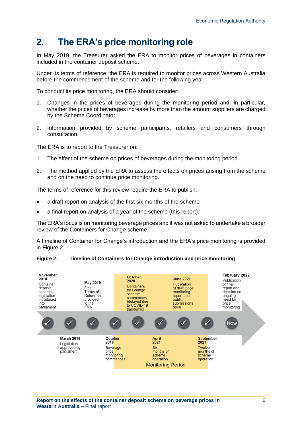# <span id="page-10-0"></span>**2. The ERA's price monitoring role**

In May 2019, the Treasurer asked the ERA to monitor prices of beverages in containers included in the container deposit scheme.

Under its terms of reference, the ERA is required to monitor prices across Western Australia before the commencement of the scheme and for the following year.

To conduct its price monitoring, the ERA should consider:

- 1. Changes in the prices of beverages during the monitoring period and, in particular, whether the prices of beverages increase by more than the amount suppliers are charged by the Scheme Coordinator.
- 2. Information provided by scheme participants, retailers and consumers through consultation.

The ERA is to report to the Treasurer on:

- 1. The effect of the scheme on prices of beverages during the monitoring period.
- 2. The method applied by the ERA to assess the effects on prices arising from the scheme and on the need to continue price monitoring.

The terms of reference for this review require the ERA to publish:

- a draft report on analysis of the first six months of the scheme
- a final report on analysis of a year of the scheme (this report).

The ERA's focus is on monitoring beverage prices and it was not asked to undertake a broader review of the Containers for Change scheme.

A timeline of Container for Change's introduction and the ERA's price monitoring is provided in [Figure 2.](#page-10-1)



#### <span id="page-10-1"></span>**Figure 2: Timeline of Containers for Change introduction and price monitoring**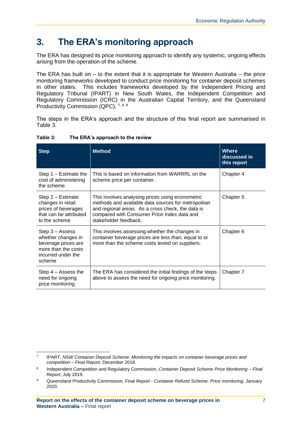# <span id="page-11-0"></span>**3. The ERA's monitoring approach**

The ERA has designed its price monitoring approach to identify any systemic, ongoing effects arising from the operation of the scheme.

The ERA has built on – to the extent that it is appropriate for Western Australia – the price monitoring frameworks developed to conduct price monitoring for container deposit schemes in other states. This includes frameworks developed by the Independent Pricing and Regulatory Tribunal (IPART) in New South Wales, the Independent Competition and Regulatory Commission (ICRC) in the Australian Capital Territory, and the Queensland Productivity Commission (QPC). 7, 8, 9

The steps in the ERA's approach and the structure of this final report are summarised in [Table 3.](#page-11-1)

| <b>Method</b><br><b>Step</b>                                                                                        |                                                                                                                                                                                                                                      | <b>Where</b><br>discussed in<br>this report |
|---------------------------------------------------------------------------------------------------------------------|--------------------------------------------------------------------------------------------------------------------------------------------------------------------------------------------------------------------------------------|---------------------------------------------|
| Step 1 – Estimate the<br>cost of administering<br>the scheme                                                        | This is based on information from WARRRL on the<br>scheme price per container.                                                                                                                                                       | Chapter 4                                   |
| Step 2 – Estimate<br>changes in retail<br>prices of beverages<br>that can be attributed<br>to the scheme            | This involves analysing prices using econometric<br>methods and available data sources for metropolitan<br>and regional areas. As a cross check, the data is<br>compared with Consumer Price Index data and<br>stakeholder feedback. | Chapter 5                                   |
| Step 3 – Assess<br>whether changes in<br>beverage prices are<br>more than the costs<br>incurred under the<br>scheme | This involves assessing whether the changes in<br>container beverage prices are less than, equal to or<br>more than the scheme costs levied on suppliers.                                                                            | Chapter 6                                   |
| Step $4 -$ Assess the<br>need for ongoing<br>price monitoring                                                       | The ERA has considered the initial findings of the steps<br>above to assess the need for ongoing price monitoring.                                                                                                                   | Chapter 7                                   |

#### <span id="page-11-1"></span>**Table 3: The ERA's approach to the review**

<sup>7</sup> IPART, *NSW Container Deposit Scheme: Monitoring the impacts on container beverage prices and competition – Final Report,* December 2018.

<sup>8</sup> Independent Competition and Regulatory Commission, *Container Deposit Scheme Price Monitoring – Final Report*, July 2019.

<sup>9</sup> Queensland Productivity Commission, *Final Report - Container Refund Scheme: Price monitoring,* January 2020.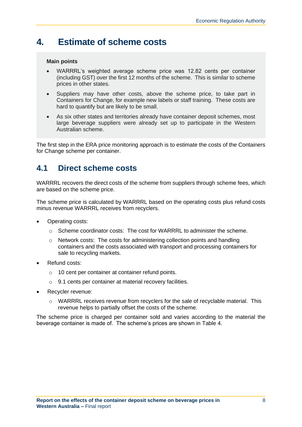# <span id="page-12-0"></span>**4. Estimate of scheme costs**

#### **Main points**

- WARRRL's weighted average scheme price was 12.82 cents per container (including GST) over the first 12 months of the scheme. This is similar to scheme prices in other states.
- Suppliers may have other costs, above the scheme price, to take part in Containers for Change, for example new labels or staff training. These costs are hard to quantify but are likely to be small.
- As six other states and territories already have container deposit schemes, most large beverage suppliers were already set up to participate in the Western Australian scheme.

The first step in the ERA price monitoring approach is to estimate the costs of the Containers for Change scheme per container.

### <span id="page-12-1"></span>**4.1 Direct scheme costs**

WARRRL recovers the direct costs of the scheme from suppliers through scheme fees, which are based on the scheme price.

The scheme price is calculated by WARRRL based on the operating costs plus refund costs minus revenue WARRRL receives from recyclers.

- Operating costs:
	- $\circ$  Scheme coordinator costs: The cost for WARRRL to administer the scheme.
	- $\circ$  Network costs: The costs for administering collection points and handling containers and the costs associated with transport and processing containers for sale to recycling markets.
- Refund costs:
	- o 10 cent per container at container refund points.
	- o 9.1 cents per container at material recovery facilities.
- Recycler revenue:
	- $\circ$  WARRRL receives revenue from recyclers for the sale of recyclable material. This revenue helps to partially offset the costs of the scheme.

The scheme price is charged per container sold and varies according to the material the beverage container is made of. The scheme's prices are shown in [Table 4.](#page-13-0)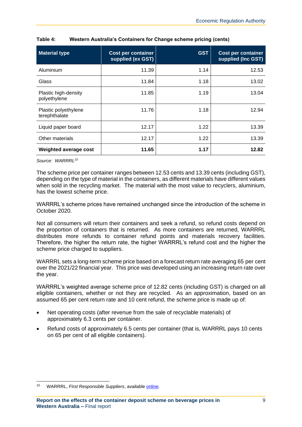| <b>Material type</b>                  | <b>Cost per container</b><br>supplied (ex GST) | <b>GST</b> | <b>Cost per container</b><br>supplied (Inc GST) |
|---------------------------------------|------------------------------------------------|------------|-------------------------------------------------|
| Aluminium                             | 11.39                                          | 1.14       | 12.53                                           |
| Glass                                 | 11.84                                          | 1.18       | 13.02                                           |
| Plastic high-density<br>polyethylene  | 11.85                                          | 1.19       | 13.04                                           |
| Plastic polyethylene<br>terephthalate | 11.76                                          | 1.18       | 12.94                                           |
| Liquid paper board                    | 12.17                                          | 1.22       | 13.39                                           |
| Other materials                       | 12.17                                          | 1.22       | 13.39                                           |
| Weighted average cost                 | 11.65                                          | 1.17       | 12.82                                           |

<span id="page-13-0"></span>

| Western Australia's Containers for Change scheme pricing (cents) |
|------------------------------------------------------------------|
|------------------------------------------------------------------|

*Source: WARRRL<sup>10</sup>*

The scheme price per container ranges between 12.53 cents and 13.39 cents (including GST), depending on the type of material in the containers, as different materials have different values when sold in the recycling market. The material with the most value to recyclers, aluminium, has the lowest scheme price.

WARRRL's scheme prices have remained unchanged since the introduction of the scheme in October 2020.

Not all consumers will return their containers and seek a refund, so refund costs depend on the proportion of containers that is returned. As more containers are returned, WARRRL distributes more refunds to container refund points and materials recovery facilities. Therefore, the higher the return rate, the higher WARRRL's refund cost and the higher the scheme price charged to suppliers.

WARRRL sets a long-term scheme price based on a forecast return rate averaging 65 per cent over the 2021/22 financial year. This price was developed using an increasing return rate over the year.

WARRRL's weighted average scheme price of 12.82 cents (including GST) is charged on all eligible containers, whether or not they are recycled. As an approximation, based on an assumed 65 per cent return rate and 10 cent refund, the scheme price is made up of:

- Net operating costs (after revenue from the sale of recyclable materials) of approximately 6.3 cents per container.
- Refund costs of approximately 6.5 cents per container (that is, WARRRL pays 10 cents on 65 per cent of all eligible containers).

<sup>10</sup> WARRRL, *First Responsible Suppliers*, available [online.](https://warrrl.com.au/industry-partners/)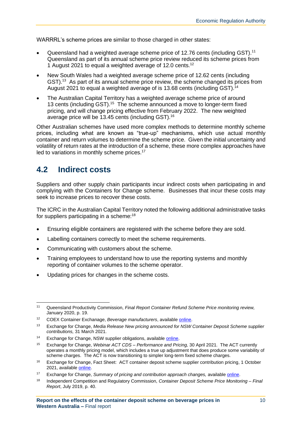WARRRL's scheme prices are similar to those charged in other states:

- Queensland had a weighted average scheme price of 12.76 cents (including GST).<sup>11</sup> Queensland as part of its annual scheme price review reduced its scheme prices from 1 August 2021 to equal a weighted average of 12.0 cents.<sup>12</sup>
- New South Wales had a weighted average scheme price of 12.62 cents (including GST).<sup>13</sup> As part of its annual scheme price review, the scheme changed its prices from August 2021 to equal a weighted average of is 13.68 cents (including GST). 14
- The Australian Capital Territory has a weighted average scheme price of around 13 cents (including GST).<sup>15</sup> The scheme announced a move to longer-term fixed pricing, and will change pricing effective from February 2022. The new weighted average price will be 13.45 cents (including GST). 16

Other Australian schemes have used more complex methods to determine monthly scheme prices, including what are known as "true-up" mechanisms, which use actual monthly container and return volumes to determine the scheme price. Given the initial uncertainty and volatility of return rates at the introduction of a scheme, these more complex approaches have led to variations in monthly scheme prices.<sup>17</sup>

### <span id="page-14-0"></span>**4.2 Indirect costs**

Suppliers and other supply chain participants incur indirect costs when participating in and complying with the Containers for Change scheme. Businesses that incur these costs may seek to increase prices to recover these costs.

The ICRC in the Australian Capital Territory noted the following additional administrative tasks for suppliers participating in a scheme:<sup>18</sup>

- Ensuring eligible containers are registered with the scheme before they are sold.
- Labelling containers correctly to meet the scheme requirements.
- Communicating with customers about the scheme.
- Training employees to understand how to use the reporting systems and monthly reporting of container volumes to the scheme operator.
- Updating prices for changes in the scheme costs.

<sup>15</sup> Exchange for Change, *Webinar ACT CDS – Performance and Pricing,* 30 April 2021. The ACT currently operates a monthly pricing model, which includes a true up adjustment that does produce some variability of scheme charges. The ACT is now transitioning to simpler long-term fixed scheme charges.

<sup>11</sup> Queensland Productivity Commission, *Final Report Container Refund Scheme Price monitoring review,*  January 2020, p. 19.

<sup>12</sup> COEX Container Exchanage, *Beverage manufacturers*, available [online.](https://containerexchange.com.au/partners/beverage-manufacturers/)

<sup>13</sup> Exchange for Change, *Media Release New pricing announced for NSW Container Deposit Scheme supplier contributions,* 31 March 2021.

<sup>14</sup> Exchange for Change, NSW supplier obligations, available [online.](https://www.exchangeforchange.com.au/suppliers/supplier-obligations.html)

<sup>&</sup>lt;sup>16</sup> Exchange for Change, Fact Sheet: ACT container deposit scheme supplier contribution pricing, 1 October 2021, available [online.](https://www.exchangeforchange.com.au/_cache_4887/content/6531970000018035.pdf)

<sup>17</sup> Exchange for Change, *Summary of pricing and contribution approach changes,* availabl[e online.](https://actsuppliercontribution.exchangeforchange.com.au/summary-of-pricing-and-contribution-approach-changes/)

<sup>18</sup> Independent Competition and Regulatory Commission, *Container Deposit Scheme Price Monitoring – Final Report*, July 2019, p. 40.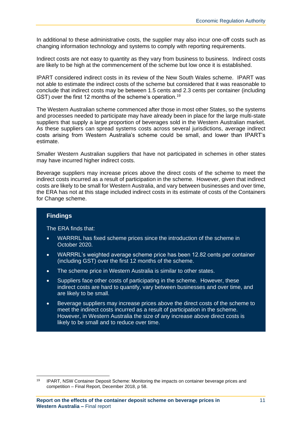In additional to these administrative costs, the supplier may also incur one-off costs such as changing information technology and systems to comply with reporting requirements.

Indirect costs are not easy to quantity as they vary from business to business. Indirect costs are likely to be high at the commencement of the scheme but low once it is established.

IPART considered indirect costs in its review of the New South Wales scheme. IPART was not able to estimate the indirect costs of the scheme but considered that it was reasonable to conclude that indirect costs may be between 1.5 cents and 2.3 cents per container (including GST) over the first 12 months of the scheme's operation.<sup>19</sup>

The Western Australian scheme commenced after those in most other States, so the systems and processes needed to participate may have already been in place for the large multi-state suppliers that supply a large proportion of beverages sold in the Western Australian market. As these suppliers can spread systems costs across several jurisdictions, average indirect costs arising from Western Australia's scheme could be small, and lower than IPART's estimate.

Smaller Western Australian suppliers that have not participated in schemes in other states may have incurred higher indirect costs.

Beverage suppliers may increase prices above the direct costs of the scheme to meet the indirect costs incurred as a result of participation in the scheme. However, given that indirect costs are likely to be small for Western Australia, and vary between businesses and over time, the ERA has not at this stage included indirect costs in its estimate of costs of the Containers for Change scheme.

#### **Findings**

The ERA finds that:

- WARRRL has fixed scheme prices since the introduction of the scheme in October 2020.
- WARRRL's weighted average scheme price has been 12.82 cents per container (including GST) over the first 12 months of the scheme.
- The scheme price in Western Australia is similar to other states.
- Suppliers face other costs of participating in the scheme. However, these indirect costs are hard to quantify, vary between businesses and over time, and are likely to be small.
- Beverage suppliers may increase prices above the direct costs of the scheme to meet the indirect costs incurred as a result of participation in the scheme. However, in Western Australia the size of any increase above direct costs is likely to be small and to reduce over time.

<sup>&</sup>lt;sup>19</sup> IPART, NSW Container Deposit Scheme: Monitoring the impacts on container beverage prices and competition – Final Report, December 2018, p 58.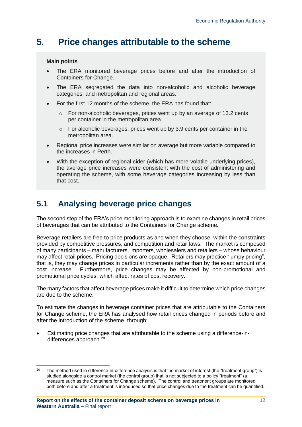# <span id="page-16-0"></span>**5. Price changes attributable to the scheme**

#### **Main points**

- The ERA monitored beverage prices before and after the introduction of Containers for Change.
- The ERA segregated the data into non-alcoholic and alcoholic beverage categories, and metropolitan and regional areas.
- For the first 12 months of the scheme, the ERA has found that:
	- o For non-alcoholic beverages, prices went up by an average of 13.2 cents per container in the metropolitan area.
	- o For alcoholic beverages, prices went up by 3.9 cents per container in the metropolitan area.
- Regional price increases were similar on average but more variable compared to the increases in Perth.
- With the exception of regional cider (which has more volatile underlying prices), the average price increases were consistent with the cost of administering and operating the scheme, with some beverage categories increasing by less than that cost.

# <span id="page-16-1"></span>**5.1 Analysing beverage price changes**

The second step of the ERA's price monitoring approach is to examine changes in retail prices of beverages that can be attributed to the Containers for Change scheme.

Beverage retailers are free to price products as and when they choose, within the constraints provided by competitive pressures, and competition and retail laws. The market is composed of many participants – manufacturers, importers, wholesalers and retailers – whose behaviour may affect retail prices. Pricing decisions are opaque. Retailers may practice "lumpy pricing", that is, they may change prices in particular increments rather than by the exact amount of a cost increase. Furthermore, price changes may be affected by non-promotional and promotional price cycles, which affect rates of cost recovery.

The many factors that affect beverage prices make it difficult to determine which price changes are due to the scheme.

To estimate the changes in beverage container prices that are attributable to the Containers for Change scheme, the ERA has analysed how retail prices changed in periods before and after the introduction of the scheme, through:

• Estimating price changes that are attributable to the scheme using a difference-indifferences approach. $^{20}$ 

 $20$  The method used in difference-in-difference analysis is that the market of interest (the "treatment group") is studied alongside a control market (the control group) that is not subjected to a policy "treatment" (a measure such as the Containers for Change scheme). The control and treatment groups are monitored both before and after a treatment is introduced so that price changes due to the treatment can be quantified.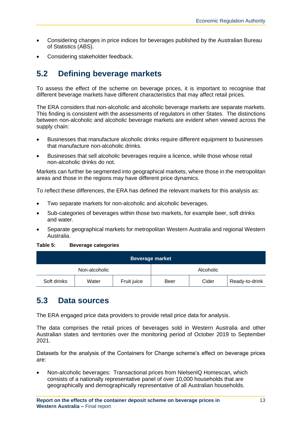- Considering changes in price indices for beverages published by the Australian Bureau of Statistics (ABS).
- Considering stakeholder feedback.

# <span id="page-17-0"></span>**5.2 Defining beverage markets**

To assess the effect of the scheme on beverage prices, it is important to recognise that different beverage markets have different characteristics that may affect retail prices.

The ERA considers that non-alcoholic and alcoholic beverage markets are separate markets. This finding is consistent with the assessments of regulators in other States. The distinctions between non-alcoholic and alcoholic beverage markets are evident when viewed across the supply chain:

- Businesses that manufacture alcoholic drinks require different equipment to businesses that manufacture non-alcoholic drinks.
- Businesses that sell alcoholic beverages require a licence, while those whose retail non-alcoholic drinks do not.

Markets can further be segmented into geographical markets, where those in the metropolitan areas and those in the regions may have different price dynamics.

To reflect these differences, the ERA has defined the relevant markets for this analysis as:

- Two separate markets for non-alcoholic and alcoholic beverages.
- Sub-categories of beverages within those two markets, for example beer, soft drinks and water.
- Separate geographical markets for metropolitan Western Australia and regional Western Australia.

#### <span id="page-17-2"></span>**Table 5: Beverage categories**

| <b>Beverage market</b> |       |             |      |           |                |
|------------------------|-------|-------------|------|-----------|----------------|
| Non-alcoholic          |       |             |      | Alcoholic |                |
| Soft drinks            | Water | Fruit juice | Beer | Cider     | Ready-to-drink |

### <span id="page-17-1"></span>**5.3 Data sources**

The ERA engaged price data providers to provide retail price data for analysis.

The data comprises the retail prices of beverages sold in Western Australia and other Australian states and territories over the monitoring period of October 2019 to September 2021.

Datasets for the analysis of the Containers for Change scheme's effect on beverage prices are:

• Non-alcoholic beverages: Transactional prices from NielsenIQ Homescan, which consists of a nationally representative panel of over 10,000 households that are geographically and demographically representative of all Australian households.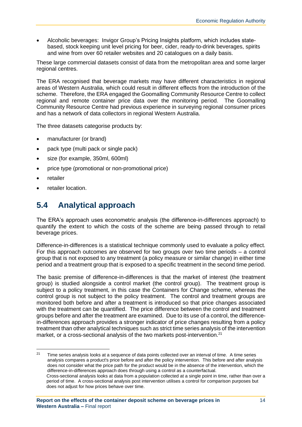• Alcoholic beverages: Invigor Group's Pricing Insights platform, which includes statebased, stock keeping unit level pricing for beer, cider, ready-to-drink beverages, spirits and wine from over 60 retailer websites and 20 catalogues on a daily basis.

These large commercial datasets consist of data from the metropolitan area and some larger regional centres.

The ERA recognised that beverage markets may have different characteristics in regional areas of Western Australia, which could result in different effects from the introduction of the scheme. Therefore, the ERA engaged the Goomalling Community Resource Centre to collect regional and remote container price data over the monitoring period. The Goomalling Community Resource Centre had previous experience in surveying regional consumer prices and has a network of data collectors in regional Western Australia.

The three datasets categorise products by:

- manufacturer (or brand)
- pack type (multi pack or single pack)
- size (for example, 350ml, 600ml)
- price type (promotional or non-promotional price)
- retailer
- retailer location.

# <span id="page-18-0"></span>**5.4 Analytical approach**

The ERA's approach uses econometric analysis (the difference-in-differences approach) to quantify the extent to which the costs of the scheme are being passed through to retail beverage prices.

Difference-in-differences is a statistical technique commonly used to evaluate a policy effect. For this approach outcomes are observed for two groups over two time periods – a control group that is not exposed to any treatment (a policy measure or similar change) in either time period and a treatment group that is exposed to a specific treatment in the second time period.

The basic premise of difference-in-differences is that the market of interest (the treatment group) is studied alongside a control market (the control group). The treatment group is subject to a policy treatment, in this case the Containers for Change scheme, whereas the control group is not subject to the policy treatment. The control and treatment groups are monitored both before and after a treatment is introduced so that price changes associated with the treatment can be quantified. The price difference between the control and treatment groups before and after the treatment are examined. Due to its use of a control, the differencein-differences approach provides a stronger indicator of price changes resulting from a policy treatment than other analytical techniques such as strict time series analysis of the intervention market, or a cross-sectional analysis of the two markets post-intervention.<sup>21</sup>

 $21$  Time series analysis looks at a sequence of data points collected over an interval of time. A time series analysis compares a product's price before and after the policy intervention. This before and after analysis does not consider what the price path for the product would be in the absence of the intervention, which the difference-in-differences approach does through using a control as a counterfactual. Cross-sectional analysis looks at data from a population collected at a single point in time, rather than over a period of time. A cross-sectional analysis post intervention utilises a control for comparison purposes but does not adjust for how prices behave over time.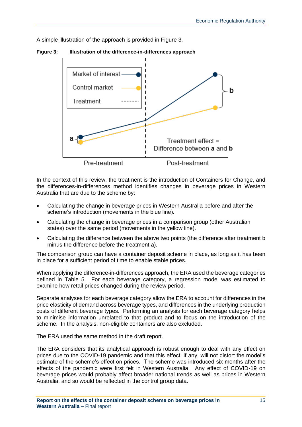A simple illustration of the approach is provided in [Figure 3.](#page-19-0)

<span id="page-19-0"></span>**Figure 3: Illustration of the difference-in-differences approach**



In the context of this review, the treatment is the introduction of Containers for Change, and the differences-in-differences method identifies changes in beverage prices in Western Australia that are due to the scheme by:

- Calculating the change in beverage prices in Western Australia before and after the scheme's introduction (movements in the blue line).
- Calculating the change in beverage prices in a comparison group (other Australian states) over the same period (movements in the yellow line).
- Calculating the difference between the above two points (the difference after treatment b minus the difference before the treatment a).

The comparison group can have a container deposit scheme in place, as long as it has been in place for a sufficient period of time to enable stable prices.

When applying the difference-in-differences approach, the ERA used the beverage categories defined in [Table 5.](#page-17-2) For each beverage category, a regression model was estimated to examine how retail prices changed during the review period.

Separate analyses for each beverage category allow the ERA to account for differences in the price elasticity of demand across beverage types, and differences in the underlying production costs of different beverage types. Performing an analysis for each beverage category helps to minimise information unrelated to that product and to focus on the introduction of the scheme. In the analysis, non-eligible containers are also excluded.

The ERA used the same method in the draft report.

The ERA considers that its analytical approach is robust enough to deal with any effect on prices due to the COVID-19 pandemic and that this effect, if any, will not distort the model's estimate of the scheme's effect on prices. The scheme was introduced six months after the effects of the pandemic were first felt in Western Australia. Any effect of COVID-19 on beverage prices would probably affect broader national trends as well as prices in Western Australia, and so would be reflected in the control group data.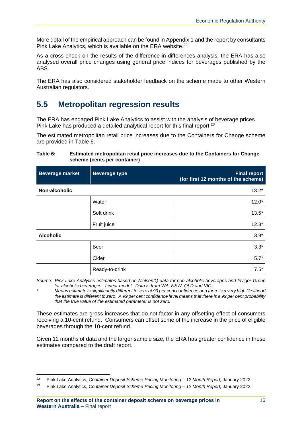More detail of the empirical approach can be found in Appendix 1 and the report by consultants Pink Lake Analytics, which is available on the ERA website.<sup>22</sup>

As a cross check on the results of the difference-in-differences analysis, the ERA has also analysed overall price changes using general price indices for beverages published by the ABS.

The ERA has also considered stakeholder feedback on the scheme made to other Western Australian regulators.

### <span id="page-20-0"></span>**5.5 Metropolitan regression results**

The ERA has engaged Pink Lake Analytics to assist with the analysis of beverage prices. Pink Lake has produced a detailed analytical report for this final report.<sup>23</sup>

The estimated metropolitan retail price increases due to the Containers for Change scheme are provided in [Table 6.](#page-20-1)

#### <span id="page-20-1"></span>**Table 6: Estimated metropolitan retail price increases due to the Containers for Change scheme (cents per container)**

| <b>Beverage market</b> | <b>Beverage type</b> | <b>Final report</b><br>(for first 12 months of the scheme) |
|------------------------|----------------------|------------------------------------------------------------|
| Non-alcoholic          |                      | $13.2*$                                                    |
|                        | Water                | $12.0*$                                                    |
|                        | Soft drink           | $13.5*$                                                    |
|                        | Fruit juice          | $12.3*$                                                    |
| <b>Alcoholic</b>       |                      | $3.9*$                                                     |
|                        | Beer                 | $3.3*$                                                     |
|                        | Cider                | $5.7*$                                                     |
|                        | Ready-to-drink       | $7.5*$                                                     |

*Source: Pink Lake Analytics estimates based on NielsenIQ data for non-alcoholic beverages and Invigor Group for alcoholic beverages. Linear model. Data is from WA, NSW, QLD and VIC.* 

*\* Means estimate is significantly different to zero at 99 per cent confidence and there is a very high likelihood the estimate is different to zero. A 99 per cent confidence level means that there is a 99 per cent probability that the true value of the estimated parameter is not zero.*

These estimates are gross increases that do not factor in any offsetting effect of consumers receiving a 10-cent refund. Consumers can offset some of the increase in the price of eligible beverages through the 10-cent refund.

Given 12 months of data and the larger sample size, the ERA has greater confidence in these estimates compared to the draft report.

<sup>22</sup> Pink Lake Analytics, *Container Deposit Scheme Pricing Monitoring – 12 Month Report,* January 2022.

<sup>23</sup> Pink Lake Analytics, *Container Deposit Scheme Pricing Monitoring – 12 Month Report,* January 2022.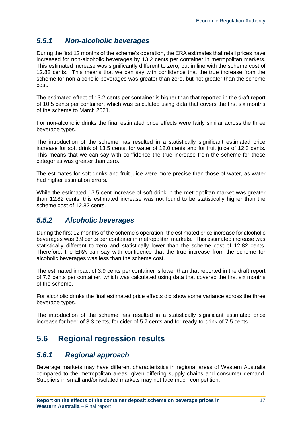### <span id="page-21-0"></span>*5.5.1 Non-alcoholic beverages*

During the first 12 months of the scheme's operation, the ERA estimates that retail prices have increased for non-alcoholic beverages by 13.2 cents per container in metropolitan markets. This estimated increase was significantly different to zero, but in line with the scheme cost of 12.82 cents. This means that we can say with confidence that the true increase from the scheme for non-alcoholic beverages was greater than zero, but not greater than the scheme cost.

The estimated effect of 13.2 cents per container is higher than that reported in the draft report of 10.5 cents per container, which was calculated using data that covers the first six months of the scheme to March 2021.

For non-alcoholic drinks the final estimated price effects were fairly similar across the three beverage types.

The introduction of the scheme has resulted in a statistically significant estimated price increase for soft drink of 13.5 cents, for water of 12.0 cents and for fruit juice of 12.3 cents. This means that we can say with confidence the true increase from the scheme for these categories was greater than zero.

The estimates for soft drinks and fruit juice were more precise than those of water, as water had higher estimation errors.

While the estimated 13.5 cent increase of soft drink in the metropolitan market was greater than 12.82 cents, this estimated increase was not found to be statistically higher than the scheme cost of 12.82 cents.

### <span id="page-21-1"></span>*5.5.2 Alcoholic beverages*

During the first 12 months of the scheme's operation, the estimated price increase for alcoholic beverages was 3.9 cents per container in metropolitan markets. This estimated increase was statistically different to zero and statistically lower than the scheme cost of 12.82 cents. Therefore, the ERA can say with confidence that the true increase from the scheme for alcoholic beverages was less than the scheme cost.

The estimated impact of 3.9 cents per container is lower than that reported in the draft report of 7.6 cents per container, which was calculated using data that covered the first six months of the scheme.

For alcoholic drinks the final estimated price effects did show some variance across the three beverage types.

The introduction of the scheme has resulted in a statistically significant estimated price increase for beer of 3.3 cents, for cider of 5.7 cents and for ready-to-drink of 7.5 cents.

# <span id="page-21-2"></span>**5.6 Regional regression results**

### <span id="page-21-3"></span>*5.6.1 Regional approach*

Beverage markets may have different characteristics in regional areas of Western Australia compared to the metropolitan areas, given differing supply chains and consumer demand. Suppliers in small and/or isolated markets may not face much competition.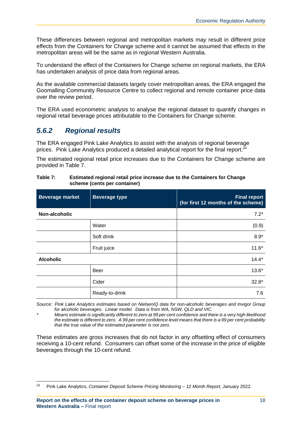These differences between regional and metropolitan markets may result in different price effects from the Containers for Change scheme and it cannot be assumed that effects in the metropolitan areas will be the same as in regional Western Australia.

To understand the effect of the Containers for Change scheme on regional markets, the ERA has undertaken analysis of price data from regional areas.

As the available commercial datasets largely cover metropolitan areas, the ERA engaged the Goomalling Community Resource Centre to collect regional and remote container price data over the review period.

The ERA used econometric analysis to analyse the regional dataset to quantify changes in regional retail beverage prices attributable to the Containers for Change scheme.

#### <span id="page-22-0"></span>*5.6.2 Regional results*

The ERA engaged Pink Lake Analytics to assist with the analysis of regional beverage prices. Pink Lake Analytics produced a detailed analytical report for the final report. $24$ 

The estimated regional retail price increases due to the Containers for Change scheme are provided in [Table 7.](#page-22-1)

| <b>Beverage market</b> | <b>Beverage type</b> | <b>Final report</b><br>(for first 12 months of the scheme) |
|------------------------|----------------------|------------------------------------------------------------|
| Non-alcoholic          |                      | $7.2*$                                                     |
|                        | Water                | (0.9)                                                      |
|                        | Soft drink           | $8.9*$                                                     |
|                        | Fruit juice          | $11.6*$                                                    |
| <b>Alcoholic</b>       |                      | $14.4*$                                                    |
|                        | Beer                 | $13.6*$                                                    |
|                        | Cider                | $32.8*$                                                    |
|                        | Ready-to-drink       | 7.6                                                        |

#### <span id="page-22-1"></span>**Table 7: Estimated regional retail price increase due to the Containers for Change scheme (cents per container)**

*Source: Pink Lake Analytics estimates based on NielsenIQ data for non-alcoholic beverages and Invigor Group for alcoholic beverages. Linear model. Data is from WA, NSW, QLD and VIC.* 

*\* Means estimate is significantly different to zero at 99 per cent confidence and there is a very high likelihood the estimate is different to zero. A 99 per cent confidence level means that there is a 99 per cent probability that the true value of the estimated parameter is not zero.*

These estimates are gross increases that do not factor in any offsetting effect of consumers receiving a 10-cent refund. Consumers can offset some of the increase in the price of eligible beverages through the 10-cent refund.

<sup>24</sup> Pink Lake Analytics, *Container Deposit Scheme Pricing Monitoring – 12 Month Report,* January 2022.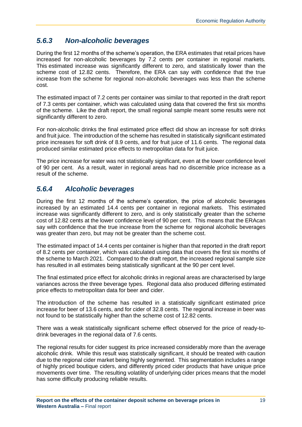#### <span id="page-23-0"></span>*5.6.3 Non-alcoholic beverages*

During the first 12 months of the scheme's operation, the ERA estimates that retail prices have increased for non-alcoholic beverages by 7.2 cents per container in regional markets. This estimated increase was significantly different to zero, and statistically lower than the scheme cost of 12.82 cents. Therefore, the ERA can say with confidence that the true increase from the scheme for regional non-alcoholic beverages was less than the scheme cost.

The estimated impact of 7.2 cents per container was similar to that reported in the draft report of 7.3 cents per container, which was calculated using data that covered the first six months of the scheme. Like the draft report, the small regional sample meant some results were not significantly different to zero.

For non-alcoholic drinks the final estimated price effect did show an increase for soft drinks and fruit juice. The introduction of the scheme has resulted in statistically significant estimated price increases for soft drink of 8.9 cents, and for fruit juice of 11.6 cents. The regional data produced similar estimated price effects to metropolitan data for fruit juice.

The price increase for water was not statistically significant, even at the lower confidence level of 90 per cent. As a result, water in regional areas had no discernible price increase as a result of the scheme.

#### <span id="page-23-1"></span>*5.6.4 Alcoholic beverages*

During the first 12 months of the scheme's operation, the price of alcoholic beverages increased by an estimated 14.4 cents per container in regional markets. This estimated increase was significantly different to zero, and is only statistically greater than the scheme cost of 12.82 cents at the lower confidence level of 90 per cent. This means that the ERAcan say with confidence that the true increase from the scheme for regional alcoholic beverages was greater than zero, but may not be greater than the scheme cost.

The estimated impact of 14.4 cents per container is higher than that reported in the draft report of 8.2 cents per container, which was calculated using data that covers the first six months of the scheme to March 2021. Compared to the draft report, the increased regional sample size has resulted in all estimates being statistically significant at the 90 per cent level.

The final estimated price effect for alcoholic drinks in regional areas are characterised by large variances across the three beverage types. Regional data also produced differing estimated price effects to metropolitan data for beer and cider.

The introduction of the scheme has resulted in a statistically significant estimated price increase for beer of 13.6 cents, and for cider of 32.8 cents. The regional increase in beer was not found to be statistically higher than the scheme cost of 12.82 cents.

There was a weak statistically significant scheme effect observed for the price of ready-todrink beverages in the regional data of 7.6 cents.

The regional results for cider suggest its price increased considerably more than the average alcoholic drink. While this result was statistically significant, it should be treated with caution due to the regional cider market being highly segmented. This segmentation includes a range of highly priced boutique ciders, and differently priced cider products that have unique price movements over time. The resulting volatility of underlying cider prices means that the model has some difficulty producing reliable results.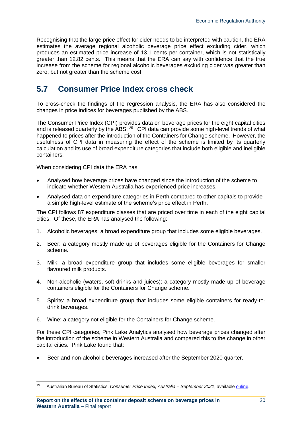Recognising that the large price effect for cider needs to be interpreted with caution, the ERA estimates the average regional alcoholic beverage price effect excluding cider, which produces an estimated price increase of 13.1 cents per container, which is not statistically greater than 12.82 cents. This means that the ERA can say with confidence that the true increase from the scheme for regional alcoholic beverages excluding cider was greater than zero, but not greater than the scheme cost.

### <span id="page-24-0"></span>**5.7 Consumer Price Index cross check**

To cross-check the findings of the regression analysis, the ERA has also considered the changes in price indices for beverages published by the ABS.

The Consumer Price Index (CPI) provides data on beverage prices for the eight capital cities and is released quarterly by the ABS.  $25$  CPI data can provide some high-level trends of what happened to prices after the introduction of the Containers for Change scheme. However, the usefulness of CPI data in measuring the effect of the scheme is limited by its quarterly calculation and its use of broad expenditure categories that include both eligible and ineligible containers.

When considering CPI data the ERA has:

- Analysed how beverage prices have changed since the introduction of the scheme to indicate whether Western Australia has experienced price increases.
- Analysed data on expenditure categories in Perth compared to other capitals to provide a simple high-level estimate of the scheme's price effect in Perth.

The CPI follows 87 expenditure classes that are priced over time in each of the eight capital cities. Of these, the ERA has analysed the following:

- 1. Alcoholic beverages: a broad expenditure group that includes some eligible beverages.
- 2. Beer: a category mostly made up of beverages eligible for the Containers for Change scheme.
- 3. Milk: a broad expenditure group that includes some eligible beverages for smaller flavoured milk products.
- 4. Non-alcoholic (waters, soft drinks and juices): a category mostly made up of beverage containers eligible for the Containers for Change scheme.
- 5. Spirits: a broad expenditure group that includes some eligible containers for ready-todrink beverages.
- 6. Wine: a category not eligible for the Containers for Change scheme.

For these CPI categories, Pink Lake Analytics analysed how beverage prices changed after the introduction of the scheme in Western Australia and compared this to the change in other capital cities. Pink Lake found that:

• Beer and non-alcoholic beverages increased after the September 2020 quarter.

<sup>25</sup> Australian Bureau of Statistics, *Consumer Price Index, Australia – September 2021*, available [online.](https://www.abs.gov.au/statistics/economy/price-indexes-and-inflation/consumer-price-index-australia/sep-2021)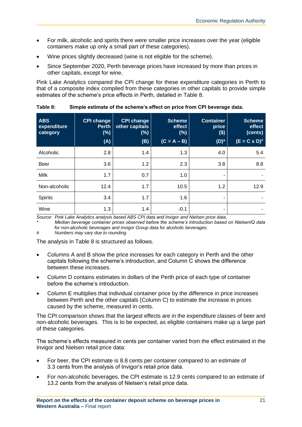- For milk, alcoholic and spirits there were smaller price increases over the year (eligible containers make up only a small part of these categories).
- Wine prices slightly decreased (wine is not eligible for the scheme).
- Since September 2020, Perth beverage prices have increased by more than prices in other capitals, except for wine.

Pink Lake Analytics compared the CPI change for these expenditure categories in Perth to that of a composite index compiled from these categories in other capitals to provide simple estimates of the scheme's price effects in Perth, detailed in [Table 8.](#page-25-0)

| <b>ABS</b><br>expenditure<br>category | <b>CPI change</b><br><b>Perth</b><br>(%)<br>(A) | <b>CPI change</b><br>other capitals<br>$(\%)$<br>(B) | <b>Scheme</b><br>effect<br>(%)<br>$(C = A - B)$ | <b>Container</b><br>price<br>\$)<br>$(D)^*$ | <b>Scheme</b><br>effect<br>(cents)<br>$(E = C \times D)^{\#}$ |
|---------------------------------------|-------------------------------------------------|------------------------------------------------------|-------------------------------------------------|---------------------------------------------|---------------------------------------------------------------|
| Alcoholic                             | 2.8                                             | 1.4                                                  | 1.3                                             | 4.0                                         | 5.4                                                           |
| <b>Beer</b>                           | 3.6                                             | 1.2                                                  | 2.3                                             | 3.8                                         | 8.8                                                           |
| <b>Milk</b>                           | 1.7                                             | 0.7                                                  | 1.0                                             | ۰                                           |                                                               |
| Non-alcoholic                         | 12.4                                            | 1.7                                                  | 10.5                                            | 1.2                                         | 12.9                                                          |
| <b>Spirits</b>                        | 3.4                                             | 1.7                                                  | 1.6                                             | ٠                                           |                                                               |
| Wine                                  | 1.3                                             | 1.4                                                  | $-0.1$                                          | ۰                                           |                                                               |

<span id="page-25-0"></span>**Table 8: Simple estimate of the scheme's effect on price from CPI beverage data.** 

*Source: Pink Lake Analytics analysis based ABS CPI data and Invigor and Nielsen price data. \* Median beverage container prices observed before the scheme's introduction based on NielsenIQ data for non-alcoholic beverages and Invigor Group data for alcoholic beverages.*

*# Numbers may vary due to rounding.*

The analysis in [Table 8](#page-25-0) is structured as follows.

- Columns A and B show the price increases for each category in Perth and the other capitals following the scheme's introduction, and Column C shows the difference between these increases.
- Column D contains estimates in dollars of the Perth price of each type of container before the scheme's introduction.
- Column E multiplies that individual container price by the difference in price increases between Perth and the other capitals (Column C) to estimate the increase in prices caused by the scheme, measured in cents.

The CPI comparison shows that the largest effects are in the expenditure classes of beer and non-alcoholic beverages. This is to be expected, as eligible containers make up a large part of these categories.

The scheme's effects measured in cents per container varied from the effect estimated in the Invigor and Nielsen retail price data:

- For beer, the CPI estimate is 8.8 cents per container compared to an estimate of 3.3 cents from the analysis of Invigor's retail price data.
- For non-alcoholic beverages, the CPI estimate is 12.9 cents compared to an estimate of 13.2 cents from the analysis of Nielsen's retail price data.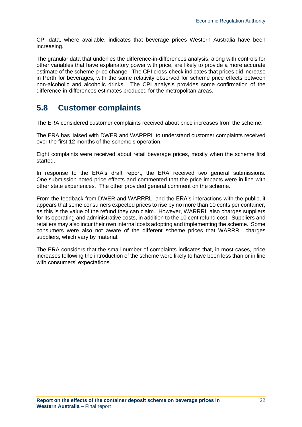CPI data, where available, indicates that beverage prices Western Australia have been increasing.

The granular data that underlies the difference-in-differences analysis, along with controls for other variables that have explanatory power with price, are likely to provide a more accurate estimate of the scheme price change. The CPI cross-check indicates that prices did increase in Perth for beverages, with the same relativity observed for scheme price effects between non-alcoholic and alcoholic drinks. The CPI analysis provides some confirmation of the difference-in-differences estimates produced for the metropolitan areas.

### <span id="page-26-0"></span>**5.8 Customer complaints**

The ERA considered customer complaints received about price increases from the scheme.

The ERA has liaised with DWER and WARRRL to understand customer complaints received over the first 12 months of the scheme's operation.

Eight complaints were received about retail beverage prices, mostly when the scheme first started.

In response to the ERA's draft report, the ERA received two general submissions. One submission noted price effects and commented that the price impacts were in line with other state experiences. The other provided general comment on the scheme.

From the feedback from DWER and WARRRL, and the ERA's interactions with the public, it appears that some consumers expected prices to rise by no more than 10 cents per container, as this is the value of the refund they can claim. However, WARRRL also charges suppliers for its operating and administrative costs, in addition to the 10 cent refund cost. Suppliers and retailers may also incur their own internal costs adopting and implementing the scheme. Some consumers were also not aware of the different scheme prices that WARRRL charges suppliers, which vary by material.

The ERA considers that the small number of complaints indicates that, in most cases, price increases following the introduction of the scheme were likely to have been less than or in line with consumers' expectations.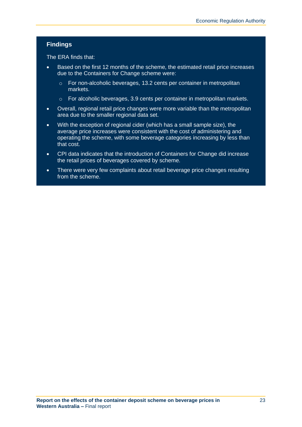#### **Findings**

The ERA finds that:

- Based on the first 12 months of the scheme, the estimated retail price increases due to the Containers for Change scheme were:
	- o For non-alcoholic beverages, 13.2 cents per container in metropolitan markets.
	- o For alcoholic beverages, 3.9 cents per container in metropolitan markets.
- Overall, regional retail price changes were more variable than the metropolitan area due to the smaller regional data set.
- With the exception of regional cider (which has a small sample size), the average price increases were consistent with the cost of administering and operating the scheme, with some beverage categories increasing by less than that cost.
- CPI data indicates that the introduction of Containers for Change did increase the retail prices of beverages covered by scheme.
- There were very few complaints about retail beverage price changes resulting from the scheme.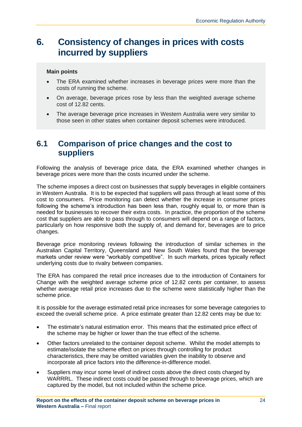# <span id="page-28-0"></span>**6. Consistency of changes in prices with costs incurred by suppliers**

#### **Main points**

- The ERA examined whether increases in beverage prices were more than the costs of running the scheme.
- On average, beverage prices rose by less than the weighted average scheme cost of 12.82 cents.
- The average beverage price increases in Western Australia were very similar to those seen in other states when container deposit schemes were introduced.

### <span id="page-28-1"></span>**6.1 Comparison of price changes and the cost to suppliers**

Following the analysis of beverage price data, the ERA examined whether changes in beverage prices were more than the costs incurred under the scheme.

The scheme imposes a direct cost on businesses that supply beverages in eligible containers in Western Australia. It is to be expected that suppliers will pass through at least some of this cost to consumers. Price monitoring can detect whether the increase in consumer prices following the scheme's introduction has been less than, roughly equal to, or more than is needed for businesses to recover their extra costs. In practice, the proportion of the scheme cost that suppliers are able to pass through to consumers will depend on a range of factors, particularly on how responsive both the supply of, and demand for, beverages are to price changes.

Beverage price monitoring reviews following the introduction of similar schemes in the Australian Capital Territory, Queensland and New South Wales found that the beverage markets under review were "workably competitive". In such markets, prices typically reflect underlying costs due to rivalry between companies.

The ERA has compared the retail price increases due to the introduction of Containers for Change with the weighted average scheme price of 12.82 cents per container, to assess whether average retail price increases due to the scheme were statistically higher than the scheme price.

It is possible for the average estimated retail price increases for some beverage categories to exceed the overall scheme price. A price estimate greater than 12.82 cents may be due to:

- The estimate's natural estimation error. This means that the estimated price effect of the scheme may be higher or lower than the true effect of the scheme.
- Other factors unrelated to the container deposit scheme. Whilst the model attempts to estimate/isolate the scheme effect on prices through controlling for product characteristics, there may be omitted variables given the inability to observe and incorporate all price factors into the difference-in-difference model.
- Suppliers may incur some level of indirect costs above the direct costs charged by WARRRL. These indirect costs could be passed through to beverage prices, which are captured by the model, but not included within the scheme price.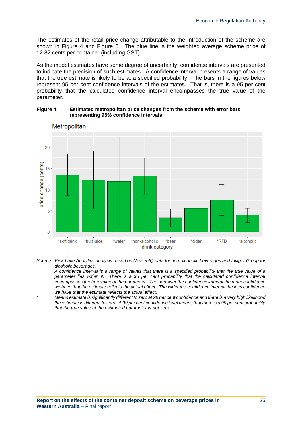The estimates of the retail price change attributable to the introduction of the scheme are shown in Figure 4 and Figure 5. The blue line is the weighted average scheme price of 12.82 cents per container (including GST).

As the model estimates have some degree of uncertainty, confidence intervals are presented to indicate the precision of such estimates. A confidence interval presents a range of values that the true estimate is likely to be at a specified probability. The bars in the figures below represent 95 per cent confidence intervals of the estimates. That is, there is a 95 per cent probability that the calculated confidence interval encompasses the true value of the parameter.

**Figure 4: Estimated metropolitan price changes from the scheme with error bars representing 95% confidence intervals.**



Metropolitan

*Source: Pink Lake Analytics analysis based on NielsenIQ data for non-alcoholic beverages and Invigor Group for alcoholic beverages.*

*A confidence interval is a range of values that there is a specified probability that the true value of a*  parameter lies within it. There is a 95 per cent probability that the calculated confidence interval *encompasses the true value of the parameter. The narrower the confidence interval the more confidence we have that the estimate reflects the actual effect. The wider the confidence interval the less confidence we have that the estimate reflects the actual effect.*

*\* Means estimate is significantly different to zero at 99 per cent confidence and there is a very high likelihood the estimate is different to zero. A 99 per cent confidence level means that there is a 99 per cent probability that the true value of the estimated parameter is not zero.*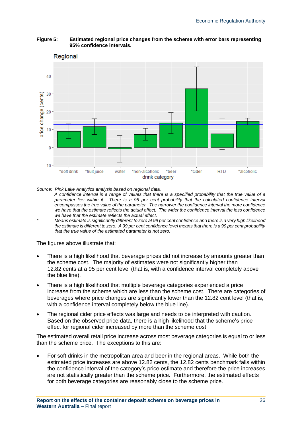

#### **Figure 5: Estimated regional price changes from the scheme with error bars representing 95% confidence intervals.**

*Source: Pink Lake Analytics analysis based on regional data.*

*A confidence interval is a range of values that there is a specified probability that the true value of a*  parameter lies within it. There is a 95 per cent probability that the calculated confidence interval *encompasses the true value of the parameter. The narrower the confidence interval the more confidence we have that the estimate reflects the actual effect. The wider the confidence interval the less confidence we have that the estimate reflects the actual effect.*

*\* Means estimate is significantly different to zero at 99 per cent confidence and there is a very high likelihood the estimate is different to zero. A 99 per cent confidence level means that there is a 99 per cent probability that the true value of the estimated parameter is not zero.*

The figures above illustrate that:

- There is a high likelihood that beverage prices did not increase by amounts greater than the scheme cost. The majority of estimates were not significantly higher than 12.82 cents at a 95 per cent level (that is, with a confidence interval completely above the blue line).
- There is a high likelihood that multiple beverage categories experienced a price increase from the scheme which are less than the scheme cost. There are categories of beverages where price changes are significantly lower than the 12.82 cent level (that is, with a confidence interval completely below the blue line).
- The regional cider price effects was large and needs to be interpreted with caution. Based on the observed price data, there is a high likelihood that the scheme's price effect for regional cider increased by more than the scheme cost.

The estimated overall retail price increase across most beverage categories is equal to or less than the scheme price. The exceptions to this are:

• For soft drinks in the metropolitan area and beer in the regional areas. While both the estimated price increases are above 12.82 cents, the 12.82 cents benchmark falls within the confidence interval of the category's price estimate and therefore the price increases are not statistically greater than the scheme price. Furthermore, the estimated effects for both beverage categories are reasonably close to the scheme price.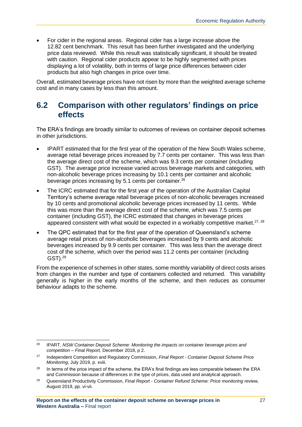• For cider in the regional areas. Regional cider has a large increase above the 12.82 cent benchmark. This result has been further investigated and the underlying price data reviewed. While this result was statistically significant, it should be treated with caution. Regional cider products appear to be highly segmented with prices displaying a lot of volatility, both in terms of large price differences between cider products but also high changes in price over time.

Overall, estimated beverage prices have not risen by more than the weighted average scheme cost and in many cases by less than this amount.

### <span id="page-31-0"></span>**6.2 Comparison with other regulators' findings on price effects**

The ERA's findings are broadly similar to outcomes of reviews on container deposit schemes in other jurisdictions.

- IPART estimated that for the first year of the operation of the New South Wales scheme, average retail beverage prices increased by 7.7 cents per container. This was less than the average direct cost of the scheme, which was 9.3 cents per container (including GST). The average price increase varied across beverage markets and categories, with non-alcoholic beverage prices increasing by 10.1 cents per container and alcoholic beverage prices increasing by 5.1 cents per container.<sup>26</sup>
- The ICRC estimated that for the first year of the operation of the Australian Capital Territory's scheme average retail beverage prices of non-alcoholic beverages increased by 10 cents and promotional alcoholic beverage prices increased by 11 cents. While this was more than the average direct cost of the scheme, which was 7.5 cents per container (including GST), the ICRC estimated that changes in beverage prices appeared consistent with what would be expected in a workably competitive market. $27, 28$
- The QPC estimated that for the first year of the operation of Queensland's scheme average retail prices of non-alcoholic beverages increased by 9 cents and alcoholic beverages increased by 9.9 cents per container. This was less than the average direct cost of the scheme, which over the period was 11.2 cents per container (including GST).<sup>29</sup>

From the experience of schemes in other states, some monthly variability of direct costs arises from changes in the number and type of containers collected and returned. This variability generally is higher in the early months of the scheme, and then reduces as consumer behaviour adapts to the scheme.

<sup>26</sup> IPART, *NSW Container Deposit Scheme: Monitoring the impacts on container beverage prices and competition – Final Report,* December 2018, p 2.

<sup>27</sup> Independent Competition and Regulatory Commission, *Final Report* - *Container Deposit Scheme Price Monitoring*, July 2019, p. xviii.

<sup>&</sup>lt;sup>28</sup> In terms of the price impact of the scheme, the ERA's final findings are less comparable between the ERA and Commission because of differences in the type of prices, data used and analytical approach.

<sup>29</sup> Queensland Productivity Commission, *Final Report - Container Refund Scheme: Price monitoring review,*  August 2019, pp. vi-vii.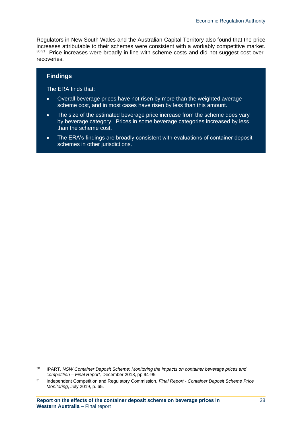Regulators in New South Wales and the Australian Capital Territory also found that the price increases attributable to their schemes were consistent with a workably competitive market. <sup>30,31</sup> Price increases were broadly in line with scheme costs and did not suggest cost overrecoveries.

#### **Findings**

The ERA finds that:

- Overall beverage prices have not risen by more than the weighted average scheme cost, and in most cases have risen by less than this amount.
- The size of the estimated beverage price increase from the scheme does vary by beverage category. Prices in some beverage categories increased by less than the scheme cost.
- The ERA's findings are broadly consistent with evaluations of container deposit schemes in other jurisdictions.

<sup>30</sup> IPART, *NSW Container Deposit Scheme: Monitoring the impacts on container beverage prices and competition – Final Report,* December 2018, pp 94-95.

<sup>31</sup> Independent Competition and Regulatory Commission, *Final Report* - *Container Deposit Scheme Price Monitoring*, July 2019, p. 65.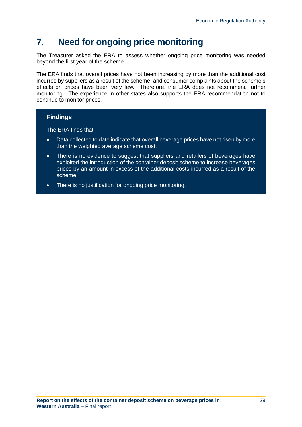# <span id="page-33-0"></span>**7. Need for ongoing price monitoring**

The Treasurer asked the ERA to assess whether ongoing price monitoring was needed beyond the first year of the scheme.

The ERA finds that overall prices have not been increasing by more than the additional cost incurred by suppliers as a result of the scheme, and consumer complaints about the scheme's effects on prices have been very few. Therefore, the ERA does not recommend further monitoring. The experience in other states also supports the ERA recommendation not to continue to monitor prices.

#### **Findings**

The ERA finds that:

- Data collected to date indicate that overall beverage prices have not risen by more than the weighted average scheme cost.
- There is no evidence to suggest that suppliers and retailers of beverages have exploited the introduction of the container deposit scheme to increase beverages prices by an amount in excess of the additional costs incurred as a result of the scheme.
- There is no justification for ongoing price monitoring.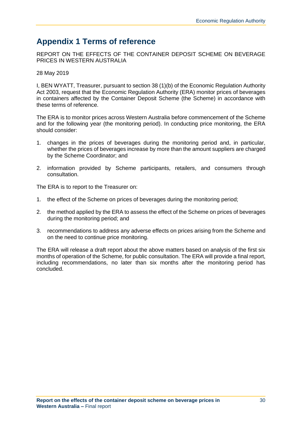### <span id="page-34-0"></span>**Appendix 1 Terms of reference**

REPORT ON THE EFFECTS OF THE CONTAINER DEPOSIT SCHEME ON BEVERAGE PRICES IN WESTERN AUSTRALIA

28 May 2019

I, BEN WYATT, Treasurer, pursuant to section 38 (1)(b) of the Economic Regulation Authority Act 2003, request that the Economic Regulation Authority (ERA) monitor prices of beverages in containers affected by the Container Deposit Scheme (the Scheme) in accordance with these terms of reference.

The ERA is to monitor prices across Western Australia before commencement of the Scheme and for the following year (the monitoring period). In conducting price monitoring, the ERA should consider:

- 1. changes in the prices of beverages during the monitoring period and, in particular, whether the prices of beverages increase by more than the amount suppliers are charged by the Scheme Coordinator; and
- 2. information provided by Scheme participants, retailers, and consumers through consultation.

The ERA is to report to the Treasurer on:

- 1. the effect of the Scheme on prices of beverages during the monitoring period;
- 2. the method applied by the ERA to assess the effect of the Scheme on prices of beverages during the monitoring period; and
- 3. recommendations to address any adverse effects on prices arising from the Scheme and on the need to continue price monitoring.

The ERA will release a draft report about the above matters based on analysis of the first six months of operation of the Scheme, for public consultation. The ERA will provide a final report, including recommendations, no later than six months after the monitoring period has concluded.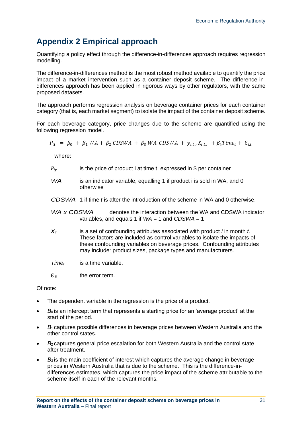# <span id="page-35-0"></span>**Appendix 2 Empirical approach**

Quantifying a policy effect through the difference-in-differences approach requires regression modelling.

The difference-in-differences method is the most robust method available to quantify the price impact of a market intervention such as a container deposit scheme. The difference-indifferences approach has been applied in rigorous ways by other regulators, with the same proposed datasets.

The approach performs regression analysis on beverage container prices for each container category (that is, each market segment) to isolate the impact of the container deposit scheme.

For each beverage category, price changes due to the scheme are quantified using the following regression model.

$$
P_{it} = \beta_0 + \beta_1 WA + \beta_2 CDSWA + \beta_3 WA CDSWA + y_{i,t,r} X_{i,t,r} + \beta_4 Time_t + \epsilon_{i,t}
$$

where:

- $P_{it}$  is the price of product i at time t, expressed in \$ per container
- *WA* is an indicator variable, equalling 1 if product i is sold in WA, and 0 otherwise
- *CDSWA* 1 if time *t* is after the introduction of the scheme in WA and 0 otherwise.
- *WA x CDSWA* denotes the interaction between the WA and CDSWA indicator variables, and equals 1 if *WA* = 1 and *CDSWA* = 1
- *Xit* is a set of confounding attributes associated with product *i* in month *t.* These factors are included as control variables to isolate the impacts of these confounding variables on beverage prices. Confounding attributes may include: product sizes, package types and manufacturers.
- *Time<sup>t</sup>* is a time variable.
- $E_{it}$  the error term.

Of note:

- The dependent variable in the regression is the price of a product.
- *B*<sub>0</sub> is an intercept term that represents a starting price for an 'average product' at the start of the period.
- *B*<sub>1</sub> captures possible differences in beverage prices between Western Australia and the other control states.
- *B<sub>2</sub>* captures general price escalation for both Western Australia and the control state after treatment.
- *Β<sup>3</sup>* is the main coefficient of interest which captures the average change in beverage prices in Western Australia that is due to the scheme. This is the difference-indifferences estimates, which captures the price impact of the scheme attributable to the scheme itself in each of the relevant months.